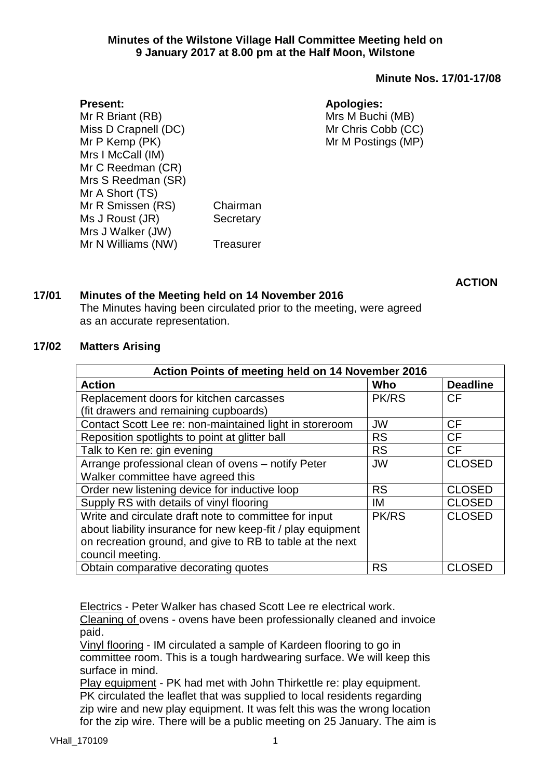#### **Minute Nos. 17/01-17/08**

#### **Apologies:**

Mrs M Buchi (MB) Mr Chris Cobb (CC) Mr M Postings (MP)

**Present:** Mr R Briant (RB) Miss D Crapnell (DC) Mr P Kemp (PK) Mrs I McCall (IM) Mr C Reedman (CR) Mrs S Reedman (SR) Mr A Short (TS) Mr R Smissen (RS) Chairman Ms J Roust (JR) Secretary Mrs J Walker (JW) Mr N Williams (NW) Treasurer

**ACTION**

## **17/01 Minutes of the Meeting held on 14 November 2016**

The Minutes having been circulated prior to the meeting, were agreed as an accurate representation.

#### **17/02 Matters Arising**

| Action Points of meeting held on 14 November 2016           |              |                 |  |  |
|-------------------------------------------------------------|--------------|-----------------|--|--|
| <b>Action</b>                                               | Who          | <b>Deadline</b> |  |  |
| Replacement doors for kitchen carcasses                     | <b>PK/RS</b> | <b>CF</b>       |  |  |
| (fit drawers and remaining cupboards)                       |              |                 |  |  |
| Contact Scott Lee re: non-maintained light in storeroom     | <b>JW</b>    | <b>CF</b>       |  |  |
| Reposition spotlights to point at glitter ball              | <b>RS</b>    | <b>CF</b>       |  |  |
| Talk to Ken re: gin evening                                 | <b>RS</b>    | <b>CF</b>       |  |  |
| Arrange professional clean of ovens - notify Peter          | <b>JW</b>    | <b>CLOSED</b>   |  |  |
| Walker committee have agreed this                           |              |                 |  |  |
| Order new listening device for inductive loop               | <b>RS</b>    | <b>CLOSED</b>   |  |  |
| Supply RS with details of vinyl flooring                    | IM           | <b>CLOSED</b>   |  |  |
| Write and circulate draft note to committee for input       | PK/RS        | <b>CLOSED</b>   |  |  |
| about liability insurance for new keep-fit / play equipment |              |                 |  |  |
| on recreation ground, and give to RB to table at the next   |              |                 |  |  |
| council meeting.                                            |              |                 |  |  |
| Obtain comparative decorating quotes                        | <b>RS</b>    | <b>CLOSED</b>   |  |  |

Electrics - Peter Walker has chased Scott Lee re electrical work.

Cleaning of ovens - ovens have been professionally cleaned and invoice paid.

Vinyl flooring - IM circulated a sample of Kardeen flooring to go in committee room. This is a tough hardwearing surface. We will keep this surface in mind.

Play equipment - PK had met with John Thirkettle re: play equipment. PK circulated the leaflet that was supplied to local residents regarding zip wire and new play equipment. It was felt this was the wrong location for the zip wire. There will be a public meeting on 25 January. The aim is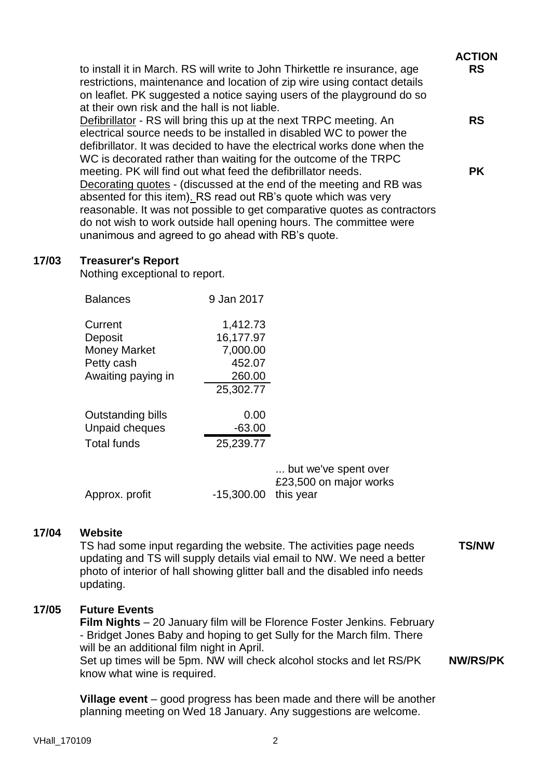|                                                                                                                                                                                                                                                                                                                                                                                                              | <b>ACTION</b> |
|--------------------------------------------------------------------------------------------------------------------------------------------------------------------------------------------------------------------------------------------------------------------------------------------------------------------------------------------------------------------------------------------------------------|---------------|
| to install it in March. RS will write to John Thirkettle re insurance, age<br>restrictions, maintenance and location of zip wire using contact details<br>on leaflet. PK suggested a notice saying users of the playground do so<br>at their own risk and the hall is not liable.                                                                                                                            | <b>RS</b>     |
| <b>Defibrillator</b> - RS will bring this up at the next TRPC meeting. An<br>electrical source needs to be installed in disabled WC to power the<br>defibrillator. It was decided to have the electrical works done when the<br>WC is decorated rather than waiting for the outcome of the TRPC                                                                                                              | <b>RS</b>     |
| meeting. PK will find out what feed the defibrillator needs.<br>Decorating quotes - (discussed at the end of the meeting and RB was<br>absented for this item). RS read out RB's quote which was very<br>reasonable. It was not possible to get comparative quotes as contractors<br>do not wish to work outside hall opening hours. The committee were<br>unanimous and agreed to go ahead with RB's quote. | <b>PK</b>     |

#### **17/03 Treasurer's Report**

Nothing exceptional to report.

| <b>Balances</b>                                                               | 9 Jan 2017                                                         |
|-------------------------------------------------------------------------------|--------------------------------------------------------------------|
| Current<br>Deposit<br><b>Money Market</b><br>Petty cash<br>Awaiting paying in | 1,412.73<br>16,177.97<br>7,000.00<br>452.07<br>260.00<br>25,302.77 |
| Outstanding bills<br><b>Unpaid cheques</b><br><b>Total funds</b>              | 0.00<br>$-63.00$<br>25,239.77                                      |

| Approx. profit | $-15,300.00$ this year | but we've spent over<br>£23,500 on major works |
|----------------|------------------------|------------------------------------------------|
|                |                        |                                                |

#### **17/04 Website**

TS had some input regarding the website. The activities page needs updating and TS will supply details vial email to NW. We need a better photo of interior of hall showing glitter ball and the disabled info needs updating.

**TS/NW**

## **17/05 Future Events**

**Film Nights** – 20 January film will be Florence Foster Jenkins. February - Bridget Jones Baby and hoping to get Sully for the March film. There will be an additional film night in April.

Set up times will be 5pm. NW will check alcohol stocks and let RS/PK know what wine is required. **NW/RS/PK**

**Village event** – good progress has been made and there will be another planning meeting on Wed 18 January. Any suggestions are welcome.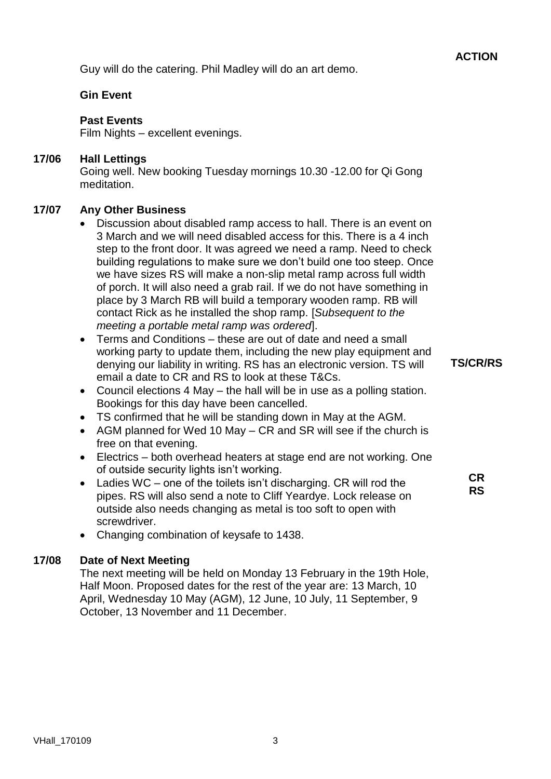Guy will do the catering. Phil Madley will do an art demo.

## **Gin Event**

#### **Past Events**

Film Nights – excellent evenings.

## **17/06 Hall Lettings**

Going well. New booking Tuesday mornings 10.30 -12.00 for Qi Gong meditation.

## **17/07 Any Other Business**

- Discussion about disabled ramp access to hall. There is an event on 3 March and we will need disabled access for this. There is a 4 inch step to the front door. It was agreed we need a ramp. Need to check building regulations to make sure we don't build one too steep. Once we have sizes RS will make a non-slip metal ramp across full width of porch. It will also need a grab rail. If we do not have something in place by 3 March RB will build a temporary wooden ramp. RB will contact Rick as he installed the shop ramp. [*Subsequent to the meeting a portable metal ramp was ordered*].
- Terms and Conditions these are out of date and need a small working party to update them, including the new play equipment and denying our liability in writing. RS has an electronic version. TS will email a date to CR and RS to look at these T&Cs.
- Council elections 4 May the hall will be in use as a polling station. Bookings for this day have been cancelled.
- TS confirmed that he will be standing down in May at the AGM.
- AGM planned for Wed 10 May CR and SR will see if the church is free on that evening.
- Electrics both overhead heaters at stage end are not working. One of outside security lights isn't working.
- Ladies WC one of the toilets isn't discharging. CR will rod the pipes. RS will also send a note to Cliff Yeardye. Lock release on outside also needs changing as metal is too soft to open with screwdriver.
- Changing combination of keysafe to 1438.

# **17/08 Date of Next Meeting**

The next meeting will be held on Monday 13 February in the 19th Hole, Half Moon. Proposed dates for the rest of the year are: 13 March, 10 April, Wednesday 10 May (AGM), 12 June, 10 July, 11 September, 9 October, 13 November and 11 December.

**TS/CR/RS**

**CR RS**